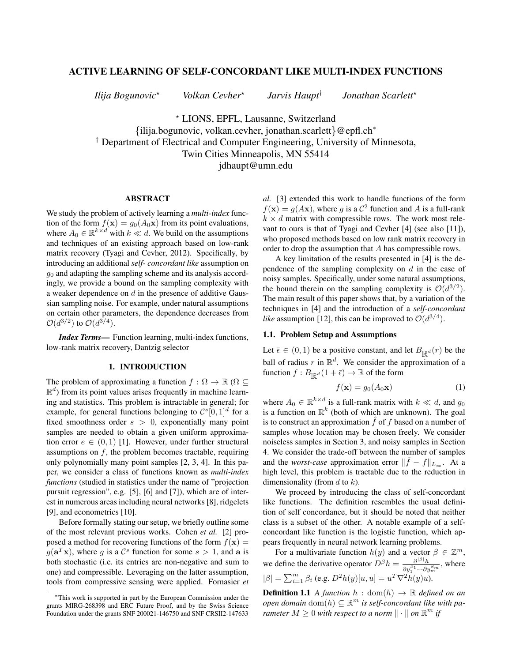# ACTIVE LEARNING OF SELF-CONCORDANT LIKE MULTI-INDEX FUNCTIONS

*Ilija Bogunovic*? *Volkan Cevher*?

*Jarvis Haupt*†

*Jonathan Scarlett*?

? LIONS, EPFL, Lausanne, Switzerland {ilija.bogunovic, volkan.cevher, jonathan.scarlett}@epfl.ch<sup>∗</sup> † Department of Electrical and Computer Engineering, University of Minnesota, Twin Cities Minneapolis, MN 55414 jdhaupt@umn.edu

### ABSTRACT

We study the problem of actively learning a *multi-index* function of the form  $f(\mathbf{x}) = g_0(A_0\mathbf{x})$  from its point evaluations, where  $A_0 \in \mathbb{R}^{k \times d}$  with  $k \ll d$ . We build on the assumptions and techniques of an existing approach based on low-rank matrix recovery (Tyagi and Cevher, 2012). Specifically, by introducing an additional *self- concordant like* assumption on  $q_0$  and adapting the sampling scheme and its analysis accordingly, we provide a bound on the sampling complexity with a weaker dependence on d in the presence of additive Gaussian sampling noise. For example, under natural assumptions on certain other parameters, the dependence decreases from  $\mathcal{O}(d^{3/2})$  to  $\mathcal{O}(d^{3/4})$ .

*Index Terms*— Function learning, multi-index functions, low-rank matrix recovery, Dantzig selector

# 1. INTRODUCTION

The problem of approximating a function  $f : \Omega \to \mathbb{R}$  ( $\Omega \subseteq$  $\mathbb{R}^d$ ) from its point values arises frequently in machine learning and statistics. This problem is intractable in general; for example, for general functions belonging to  $\mathcal{C}^{s}[0,1]$ <sup>d</sup> for a fixed smoothness order  $s > 0$ , exponentially many point samples are needed to obtain a given uniform approximation error  $e \in (0,1)$  [1]. However, under further structural assumptions on  $f$ , the problem becomes tractable, requiring only polynomially many point samples [2, 3, 4]. In this paper, we consider a class of functions known as *multi-index functions* (studied in statistics under the name of "projection pursuit regression", e.g. [5], [6] and [7]), which are of interest in numerous areas including neural networks [8], ridgelets [9], and econometrics [10].

Before formally stating our setup, we briefly outline some of the most relevant previous works. Cohen *et al.* [2] proposed a method for recovering functions of the form  $f(\mathbf{x}) =$  $g(\mathbf{a}^T\mathbf{x})$ , where g is a  $\mathcal{C}^s$  function for some  $s > 1$ , and a is both stochastic (i.e. its entries are non-negative and sum to one) and compressible. Leveraging on the latter assumption, tools from compressive sensing were applied. Fornasier *et* *al.* [3] extended this work to handle functions of the form  $f(\mathbf{x}) = g(A\mathbf{x})$ , where g is a  $C^2$  function and A is a full-rank  $k \times d$  matrix with compressible rows. The work most relevant to ours is that of Tyagi and Cevher [4] (see also [11]), who proposed methods based on low rank matrix recovery in order to drop the assumption that A has compressible rows.

A key limitation of the results presented in [4] is the dependence of the sampling complexity on  $d$  in the case of noisy samples. Specifically, under some natural assumptions, the bound therein on the sampling complexity is  $\mathcal{O}(d^{3/2})$ . The main result of this paper shows that, by a variation of the techniques in [4] and the introduction of a *self-concordant* like assumption [12], this can be improved to  $\mathcal{O}(d^{3/4})$ .

### 1.1. Problem Setup and Assumptions

Let  $\bar{\epsilon} \in (0,1)$  be a positive constant, and let  $B_{\mathbb{R}^d}(r)$  be the ball of radius r in  $\mathbb{R}^d$ . We consider the approximation of a function  $f : B_{\mathbb{R}^d}(1 + \bar{\epsilon}) \to \mathbb{R}$  of the form

$$
f(\mathbf{x}) = g_0(A_0 \mathbf{x}) \tag{1}
$$

where  $A_0 \in \mathbb{R}^{k \times d}$  is a full-rank matrix with  $k \ll d$ , and  $g_0$ is a function on  $\mathbb{R}^k$  (both of which are unknown). The goal is to construct an approximation  $\hat{f}$  of f based on a number of samples whose location may be chosen freely. We consider noiseless samples in Section 3, and noisy samples in Section 4. We consider the trade-off between the number of samples and the *worst-case* approximation error  $\|\hat{f} - f\|_{L_{\infty}}$ . At a high level, this problem is tractable due to the reduction in dimensionality (from  $d$  to  $k$ ).

We proceed by introducing the class of self-concordant like functions. The definition resembles the usual definition of self concordance, but it should be noted that neither class is a subset of the other. A notable example of a selfconcordant like function is the logistic function, which appears frequently in neural network learning problems.

For a multivariate function  $h(y)$  and a vector  $\beta \in \mathbb{Z}^m$ , we define the derivative operator  $D^{\beta}h = \frac{\partial^{|\beta|}h}{\partial \beta}$  $\frac{\partial^{1} P}{\partial y_1^{\beta_1} \cdots \partial y_m^{\beta_m}}$ , where  $|\beta| = \sum_{i=1}^{m} \beta_i$  (e.g.  $D^2 h(y)[u, u] = u^T \nabla^2 h(y) u$ ).

**Definition 1.1** *A function*  $h : dom(h) \rightarrow \mathbb{R}$  *defined on an*  $open$  domain  $dom(h) \subseteq \mathbb{R}^m$  is self-concordant like with pa*rameter*  $M \geq 0$  *with respect to a norm*  $\|\cdot\|$  *on*  $\mathbb{R}^m$  *if* 

<sup>∗</sup>This work is supported in part by the European Commission under the grants MIRG-268398 and ERC Future Proof, and by the Swiss Science Foundation under the grants SNF 200021-146750 and SNF CRSII2-147633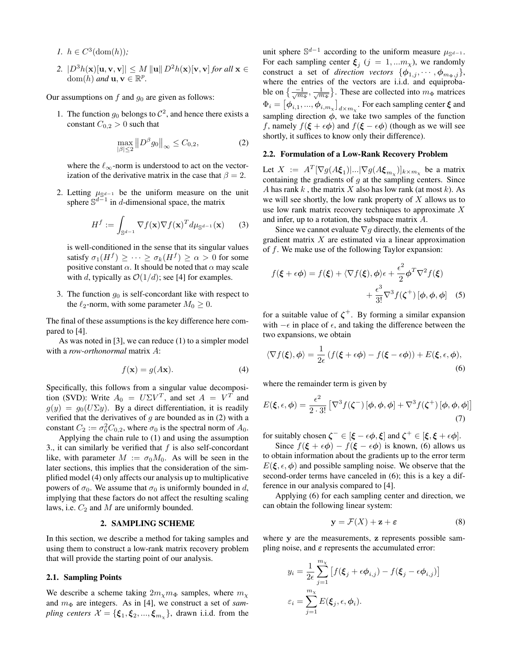- *1.*  $h \in C^3(\text{dom}(h))$ ;
- 2.  $|D^3h(\mathbf{x})[\mathbf{u}, \mathbf{v}, \mathbf{v}]| \leq M ||\mathbf{u}|| D^2h(\mathbf{x})[\mathbf{v}, \mathbf{v}]$  *for all*  $\mathbf{x} \in$  $\text{dom}(h)$  *and*  $\mathbf{u}, \mathbf{v} \in \mathbb{R}^p$ .

Our assumptions on  $f$  and  $g_0$  are given as follows:

1. The function  $g_0$  belongs to  $\mathcal{C}^2$ , and hence there exists a constant  $C_{0,2} > 0$  such that

$$
\max_{|\beta| \le 2} \|D^{\beta} g_0\|_{\infty} \le C_{0,2},\tag{2}
$$

where the  $\ell_{\infty}$ -norm is understood to act on the vectorization of the derivative matrix in the case that  $\beta = 2$ .

2. Letting  $\mu_{\mathbb{S}^{d-1}}$  be the uniform measure on the unit sphere  $\mathbb{S}^{d-1}$  in d-dimensional space, the matrix

$$
H^f := \int_{\mathbb{S}^{d-1}} \nabla f(\mathbf{x}) \nabla f(\mathbf{x})^T d\mu_{\mathbb{S}^{d-1}}(\mathbf{x}) \qquad (3)
$$

is well-conditioned in the sense that its singular values satisfy  $\sigma_1(H^f) \geq \cdots \geq \sigma_k(H^f) \geq \alpha > 0$  for some positive constant  $\alpha$ . It should be noted that  $\alpha$  may scale with d, typically as  $\mathcal{O}(1/d)$ ; see [4] for examples.

3. The function  $g_0$  is self-concordant like with respect to the  $\ell_2$ -norm, with some parameter  $M_0 \geq 0$ .

The final of these assumptions is the key difference here compared to [4].

As was noted in [3], we can reduce (1) to a simpler model with a *row-orthonormal* matrix A:

$$
f(\mathbf{x}) = g(A\mathbf{x}).\tag{4}
$$

Specifically, this follows from a singular value decomposition (SVD): Write  $A_0 = U\Sigma V^T$ , and set  $A = V^T$  and  $g(y) = g_0(U\Sigma y)$ . By a direct differentiation, it is readily verified that the derivatives of  $g$  are bounded as in (2) with a constant  $C_2 := \sigma_0^2 C_{0,2}$ , where  $\sigma_0$  is the spectral norm of  $A_0$ .

Applying the chain rule to (1) and using the assumption 3., it can similarly be verified that  $f$  is also self-concordant like, with parameter  $M := \sigma_0 M_0$ . As will be seen in the later sections, this implies that the consideration of the simplified model (4) only affects our analysis up to multiplicative powers of  $\sigma_0$ . We assume that  $\sigma_0$  is uniformly bounded in d, implying that these factors do not affect the resulting scaling laws, i.e.  $C_2$  and M are uniformly bounded.

# 2. SAMPLING SCHEME

In this section, we describe a method for taking samples and using them to construct a low-rank matrix recovery problem that will provide the starting point of our analysis.

#### 2.1. Sampling Points

We describe a scheme taking  $2m<sub>\chi</sub>m<sub>\Phi</sub>$  samples, where  $m<sub>\chi</sub>$ and  $m_{\Phi}$  are integers. As in [4], we construct a set of *sampling centers*  $\mathcal{X} = \{\boldsymbol{\xi}_1, \boldsymbol{\xi}_2, ..., \boldsymbol{\xi}_{m_{\chi}}\}$ , drawn i.i.d. from the

unit sphere  $\mathbb{S}^{d-1}$  according to the uniform measure  $\mu_{\mathbb{S}^{d-1}}$ . For each sampling center  $\xi_j$   $(j = 1,...m_\chi)$ , we randomly construct a set of *direction vectors*  $\{\phi_{1,j}, \dots, \phi_{m_{\Phi,j}}\},\$ where the entries of the vectors are i.i.d. and equiprobable on  $\{\frac{-1}{\sqrt{m_{\Phi}}}, \frac{1}{\sqrt{m_{\Phi}}} \}$ . These are collected into  $m_{\Phi}$  matrices  $\Phi_i = \left[ \phi_{i,1}, ..., \phi_{i,m_\chi} \right]_{d \times m_\chi}$ . For each sampling center  $\xi$  and sampling direction  $\phi$ , we take two samples of the function f, namely  $f(\mathbf{\xi} + \epsilon \phi)$  and  $f(\mathbf{\xi} - \epsilon \phi)$  (though as we will see shortly, it suffices to know only their difference).

#### 2.2. Formulation of a Low-Rank Recovery Problem

Let  $X := A^T[\nabla g(A\xi_1)|...|\nabla g(A\xi_{m_\chi})]_{k \times m_\chi}$  be a matrix containing the gradients of  $g$  at the sampling centers. Since A has rank k, the matrix X also has low rank (at most k). As we will see shortly, the low rank property of  $X$  allows us to use low rank matrix recovery techniques to approximate  $X$ and infer, up to a rotation, the subspace matrix A.

Since we cannot evaluate  $\nabla g$  directly, the elements of the gradient matrix  $X$  are estimated via a linear approximation of  $f$ . We make use of the following Taylor expansion:

$$
f(\xi + \epsilon \phi) = f(\xi) + \langle \nabla f(\xi), \phi \rangle \epsilon + \frac{\epsilon^2}{2} \phi^T \nabla^2 f(\xi) + \frac{\epsilon^3}{3!} \nabla^3 f(\zeta^+) [\phi, \phi, \phi]
$$
 (5)

for a suitable value of  $\zeta^+$ . By forming a similar expansion with  $-\epsilon$  in place of  $\epsilon$ , and taking the difference between the two expansions, we obtain

$$
\langle \nabla f(\xi), \phi \rangle = \frac{1}{2\epsilon} \left( f(\xi + \epsilon \phi) - f(\xi - \epsilon \phi) \right) + E(\xi, \epsilon, \phi),
$$
\n(6)

where the remainder term is given by

$$
E(\xi, \epsilon, \phi) = \frac{\epsilon^2}{2 \cdot 3!} \left[ \nabla^3 f(\zeta^-) \left[ \phi, \phi, \phi \right] + \nabla^3 f(\zeta^+) \left[ \phi, \phi, \phi \right] \right]
$$
\n(7)

for suitably chosen  $\zeta^- \in [\xi - \epsilon \phi, \xi]$  and  $\zeta^+ \in [\xi, \xi + \epsilon \phi]$ .

Since  $f(\xi + \epsilon \phi) - f(\xi - \epsilon \phi)$  is known, (6) allows us to obtain information about the gradients up to the error term  $E(\xi, \epsilon, \phi)$  and possible sampling noise. We observe that the second-order terms have canceled in (6); this is a key a difference in our analysis compared to [4].

Applying (6) for each sampling center and direction, we can obtain the following linear system:

$$
y = \mathcal{F}(X) + z + \varepsilon \tag{8}
$$

where y are the measurements, z represents possible sampling noise, and  $\varepsilon$  represents the accumulated error:

$$
y_i = \frac{1}{2\epsilon} \sum_{j=1}^{m_{\chi}} \left[ f(\xi_j + \epsilon \phi_{i,j}) - f(\xi_j - \epsilon \phi_{i,j}) \right]
$$

$$
\varepsilon_i = \sum_{j=1}^{m_{\chi}} E(\xi_j, \epsilon, \phi_i).
$$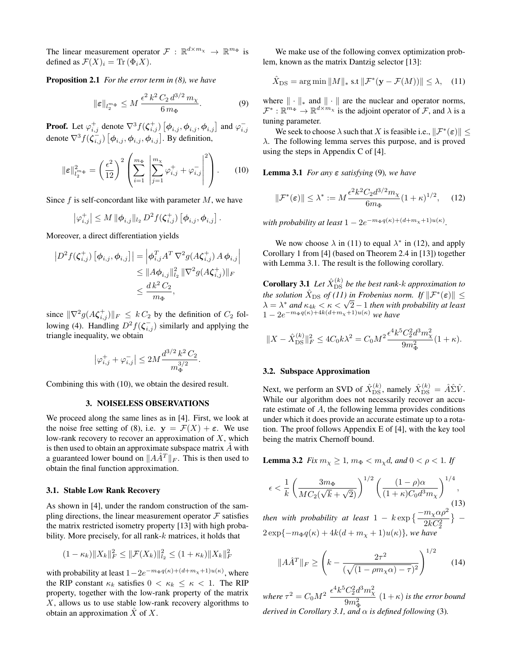The linear measurement operator  $\mathcal{F}: \mathbb{R}^{d \times m_{\chi}} \to \mathbb{R}^{m_{\Phi}}$  is defined as  $\mathcal{F}(X)_i = \text{Tr}(\Phi_i X)$ .

Proposition 2.1 *For the error term in (8), we have*

$$
\|\varepsilon\|_{l_2^{m_{\Phi}}} \le M \, \frac{\epsilon^2 \, k^2 \, C_2 \, d^{3/2} \, m_{\chi}}{6 \, m_{\Phi}}.\tag{9}
$$

**Proof.** Let  $\varphi_{i,j}^+$  denote  $\nabla^3 f(\zeta_{i,j}^+)$   $[\phi_{i,j}, \phi_{i,j}, \phi_{i,j}]$  and  $\varphi_{i,j}^$ denote  $\nabla^3 f(\zeta_{i,j}^{-}) [\phi_{i,j}, \phi_{i,j}, \phi_{i,j}]$ . By definition,

$$
\|\boldsymbol{\varepsilon}\|_{l_2^{m_{\Phi}}}^2 = \left(\frac{\epsilon^2}{12}\right)^2 \left(\sum_{i=1}^{m_{\Phi}} \left|\sum_{j=1}^{m_{\chi}} \varphi_{i,j}^+ + \varphi_{i,j}^-\right|^2\right). \tag{10}
$$

Since  $f$  is self-concordant like with parameter  $M$ , we have

$$
\left|\varphi_{i,j}^{+}\right| \leq M \, \|\boldsymbol{\phi}_{i,j}\|_{l_2} \, D^2 f(\boldsymbol{\zeta}_{i,j}^{+}) \left[\boldsymbol{\phi}_{i,j}, \boldsymbol{\phi}_{i,j}\right].
$$

Moreover, a direct differentiation yields

$$
|D^{2} f(\zeta_{i,j}^{+}) [\phi_{i,j}, \phi_{i,j}]| = \left| \phi_{i,j}^{T} A^{T} \nabla^{2} g(A \zeta_{i,j}^{+}) A \phi_{i,j} \right|
$$
  
\n
$$
\leq \| A \phi_{i,j} \|_{l_{2}}^{2} \| \nabla^{2} g(A \zeta_{i,j}^{+}) \|_{F}
$$
  
\n
$$
\leq \frac{d k^{2} C_{2}}{m_{\Phi}},
$$

since  $\|\nabla^2 g(A\zeta_{i,j}^+) \|_F \leq kC_2$  by the definition of  $C_2$  following (4). Handling  $D^2 f(\zeta_{i,j}^-)$  similarly and applying the triangle inequality, we obtain

$$
\left|\varphi_{i,j}^+ + \varphi_{i,j}^-\right| \le 2M \frac{d^{3/2} k^2 C_2}{m_{\Phi}^{3/2}}.
$$

Combining this with (10), we obtain the desired result.

#### 3. NOISELESS OBSERVATIONS

We proceed along the same lines as in [4]. First, we look at the noise free setting of (8), i.e.  $y = \mathcal{F}(X) + \varepsilon$ . We use low-rank recovery to recover an approximation of  $X$ , which is then used to obtain an approximate subspace matrix  $\hat{A}$  with a guaranteed lower bound on  $||A\hat{A}^T||_F$ . This is then used to obtain the final function approximation.

### 3.1. Stable Low Rank Recovery

As shown in [4], under the random construction of the sampling directions, the linear measurement operator  $\mathcal F$  satisfies the matrix restricted isometry property [13] with high probability. More precisely, for all rank- $k$  matrices, it holds that

$$
(1 - \kappa_k) \|X_k\|_F^2 \le \|\mathcal{F}(X_k)\|_{l_2}^2 \le (1 + \kappa_k) \|X_k\|_F^2
$$

with probability at least  $1 - 2e^{-m_{\Phi}q(\kappa) + (d + m_{\chi} + 1)u(\kappa)}$ , where the RIP constant  $\kappa_k$  satisfies  $0 < \kappa_k \leq \kappa < 1$ . The RIP property, together with the low-rank property of the matrix  $X$ , allows us to use stable low-rank recovery algorithms to obtain an approximation  $X$  of  $X$ .

We make use of the following convex optimization problem, known as the matrix Dantzig selector [13]:

$$
\hat{X}_{\text{DS}} = \arg\min \|M\|_{*} \text{ s.t } \|\mathcal{F}^{*}(\mathbf{y} - \mathcal{F}(M))\| \leq \lambda, \quad (11)
$$

where  $\|\cdot\|_*$  and  $\|\cdot\|$  are the nuclear and operator norms,  $\mathcal{F}^* : \mathbb{R}^{\dot{m}_\Phi} \to \mathbb{R}^{d \times \dot{m}_\chi}$  is the adjoint operator of  $\mathcal{F}$ , and  $\lambda$  is a tuning parameter.

We seek to choose  $\lambda$  such that X is feasible i.e.,  $\|\mathcal{F}^*(\varepsilon)\| \leq$ λ. The following lemma serves this purpose, and is proved using the steps in Appendix C of [4].

Lemma 3.1 *For any* ε *satisfying* (9)*, we have*

$$
\|\mathcal{F}^*(\varepsilon)\| \le \lambda^* := M \frac{\epsilon^2 k^2 C_2 d^{3/2} m_\chi}{6m_\Phi} (1 + \kappa)^{1/2}, \quad (12)
$$

with probability at least  $1 - 2e^{-m_{\Phi}q(\kappa) + (d+m_{\chi}+1)u(\kappa)}$ .

We now choose  $\lambda$  in (11) to equal  $\lambda^*$  in (12), and apply Corollary 1 from [4] (based on Theorem 2.4 in [13]) together with Lemma 3.1. The result is the following corollary.

**Corollary 3.1** Let  $\hat{X}_{\text{DS}}^{(k)}$  be the best rank-k approximation to *the solution*  $\hat{X}_{\text{DS}}$  *of (11) in Frobenius norm. If*  $\|\mathcal{F}^*(\varepsilon)\|$   $\leq$ *ahe* solution  $X_{DS}$  of (11) in Probentus norm. If  $||\mathcal{F}^{\perp}(\varepsilon)|| \leq \lambda = \lambda^*$  and  $\kappa_{4k} < \kappa < \sqrt{2} - 1$  then with probability at least  $1 - 2e^{-m_{\Phi}q(\kappa) + 4k(d+m_{\chi}+1)u(\kappa)}$  we have

$$
||X - \hat{X}_{DS}^{(k)}||_F^2 \le 4C_0k\lambda^2 = C_0M^2 \frac{\epsilon^4 k^5 C_2^2 d^3 m_\chi^2}{9m_\Phi^2} (1 + \kappa).
$$

#### 3.2. Subspace Approximation

Next, we perform an SVD of  $\hat{X}_{\text{DS}}^{(k)}$ , namely  $\hat{X}_{\text{DS}}^{(k)} = \hat{A}\hat{\Sigma}\hat{V}$ . While our algorithm does not necessarily recover an accurate estimate of A, the following lemma provides conditions under which it does provide an accurate estimate up to a rotation. The proof follows Appendix E of [4], with the key tool being the matrix Chernoff bound.

**Lemma 3.2** *Fix*  $m_{\chi} \geq 1$ *,*  $m_{\Phi} < m_{\chi}d$ *, and*  $0 < \rho < 1$ *. If* 

$$
\epsilon < \frac{1}{k} \left( \frac{3m_{\Phi}}{MC_2(\sqrt{k} + \sqrt{2})} \right)^{1/2} \left( \frac{(1 - \rho)\alpha}{(1 + \kappa)C_0 d^3 m_\chi} \right)^{1/4},\tag{13}
$$

*then with probability at least*  $1 - k \exp \left\{-\frac{m_{\chi} \alpha \rho^2}{2kC_2^2}\right\}$ } –  $2 \exp{-m_{\Phi} q(\kappa) + 4k(d+m_{\chi}+1)u(\kappa)}$ *, we have* 

$$
||A\hat{A}^T||_F \ge \left(k - \frac{2\tau^2}{(\sqrt{(1 - \rho m_\chi \alpha) - \tau})^2}\right)^{1/2}
$$
 (14)

where  $\tau^2 = C_0 M^2 \frac{\epsilon^4 k^5 C_2^2 d^3 m_\chi^2}{2 m^2}$  $9m_{\Phi}^2$  $(1 + \kappa)$  *is the error bound derived in Corollary 3.1, and*  $\alpha$  *is defined following* (3).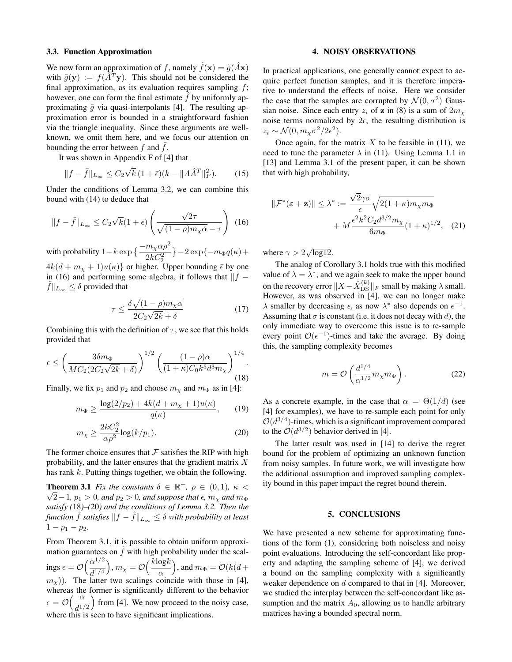#### 3.3. Function Approximation

We now form an approximation of f, namely  $\tilde{f}(\mathbf{x}) = \tilde{g}(\hat{A}\mathbf{x})$ with  $\tilde{g}(\mathbf{y}) := f(\hat{A}^T \mathbf{y})$ . This should not be considered the final approximation, as its evaluation requires sampling  $f$ ; however, one can form the final estimate  $\hat{f}$  by uniformly approximating  $\tilde{q}$  via quasi-interpolants [4]. The resulting approximation error is bounded in a straightforward fashion via the triangle inequality. Since these arguments are wellknown, we omit them here, and we focus our attention on bounding the error between  $f$  and  $f$ .

It was shown in Appendix F of [4] that

$$
||f - \tilde{f}||_{L_{\infty}} \le C_2 \sqrt{k} (1 + \bar{\epsilon})(k - ||A\hat{A}^T||_F^2).
$$
 (15)

Under the conditions of Lemma 3.2, we can combine this bound with (14) to deduce that

$$
||f - \tilde{f}||_{L_{\infty}} \le C_2 \sqrt{k}(1+\bar{\epsilon}) \left(\frac{\sqrt{2}\tau}{\sqrt{(1-\rho)m_{\chi}\alpha} - \tau}\right) (16)
$$

with probability  $1 - k \exp \left\{ \frac{-m_{\chi} \alpha \rho^2}{2k C_2^2} \right\}$  $-2 \exp{-m_{\Phi} q(\kappa)}+$  $4k(d + m<sub>x</sub> + 1)u(\kappa)$  or higher. Upper bounding  $\bar{\epsilon}$  by one in (16) and performing some algebra, it follows that  $\|f - f\|$  $f\|_{L_{\infty}} \leq \delta$  provided that

$$
\tau \le \frac{\delta \sqrt{(1-\rho)m_{\chi}\alpha}}{2C_2\sqrt{2k} + \delta} \tag{17}
$$

Combining this with the definition of  $\tau$ , we see that this holds provided that

$$
\epsilon \le \left(\frac{3\delta m_{\Phi}}{MC_2(2C_2\sqrt{2k}+\delta)}\right)^{1/2} \left(\frac{(1-\rho)\alpha}{(1+\kappa)C_0k^5d^3m_{\chi}}\right)^{1/4}.
$$
\n(18)

Finally, we fix  $p_1$  and  $p_2$  and choose  $m_\chi$  and  $m_\Phi$  as in [4]:

$$
m_{\Phi} \ge \frac{\log(2/p_2) + 4k(d + m_{\chi} + 1)u(\kappa)}{q(\kappa)},
$$
 (19)

$$
m_{\chi} \ge \frac{2kC_2^2}{\alpha \rho^2} \log(k/p_1). \tag{20}
$$

The former choice ensures that  $\mathcal F$  satisfies the RIP with high probability, and the latter ensures that the gradient matrix X has rank k. Putting things together, we obtain the following.

**Theorem 3.1** *Fix the constants*  $\delta \in \mathbb{R}^+$ ,  $\rho \in (0,1)$ ,  $\kappa <$  $\sqrt{2}-1$ ,  $p_1 > 0$ , and  $p_2 > 0$ , and suppose that  $\epsilon$ ,  $m_\chi$  and  $m_\Phi$ *satisfy (*18*)–(*20*) and the conditions of Lemma 3.2. Then the function*  $\tilde{f}$  *satisfies*  $||f - \tilde{f}||_{L_{\infty}} \leq \delta$  *with probability at least*  $1-p_1-p_2$ .

From Theorem 3.1, it is possible to obtain uniform approximation guarantees on  $\tilde{f}$  with high probability under the scalings  $\epsilon = \mathcal{O}\left(\frac{\alpha^{1/2}}{11/4}\right)$  $\frac{\alpha^{1/2}}{d^{1/4}}\Big), m_\chi = \mathcal{O}\Big(\frac{k\mathrm{log}k}{\alpha}\Big)$ α ), and  $m_{\Phi} = \mathcal{O}(k(d +$  $(m<sub>x</sub>)$ ). The latter two scalings coincide with those in [4], whereas the former is significantly different to the behavior  $\epsilon = \mathcal{O}\left(\frac{\alpha}{\mu}\right)$  $\frac{\alpha}{d^{1/2}}$ ) from [4]. We now proceed to the noisy case, where this is seen to have significant implications.

### 4. NOISY OBSERVATIONS

In practical applications, one generally cannot expect to acquire perfect function samples, and it is therefore imperative to understand the effects of noise. Here we consider the case that the samples are corrupted by  $\mathcal{N}(0, \sigma^2)$  Gaussian noise. Since each entry  $z_i$  of z in (8) is a sum of  $2m<sub>x</sub>$ noise terms normalized by  $2\epsilon$ , the resulting distribution is  $z_i \sim \mathcal{N}(0, m_\chi \sigma^2/2\epsilon^2).$ 

Once again, for the matrix  $X$  to be feasible in (11), we need to tune the parameter  $\lambda$  in (11). Using Lemma 1.1 in [13] and Lemma 3.1 of the present paper, it can be shown that with high probability,

$$
\|\mathcal{F}^*(\varepsilon + \mathbf{z})\| \leq \lambda^* := \frac{\sqrt{2}\gamma\sigma}{\epsilon} \sqrt{2(1+\kappa)m_\chi m_\Phi} + M \frac{\epsilon^2 k^2 C_2 d^{3/2} m_\chi}{6m_\Phi} (1+\kappa)^{1/2}, \quad (21)
$$

where  $\gamma > 2\sqrt{\log 12}$ .

The analog of Corollary 3.1 holds true with this modified value of  $\lambda = \lambda^*$ , and we again seek to make the upper bound on the recovery error  $||X - \hat{X}_{\text{DS}}^{(k)}||_F$  small by making  $\lambda$  small. However, as was observed in [4], we can no longer make  $\lambda$  smaller by decreasing  $\epsilon$ , as now  $\lambda^*$  also depends on  $\epsilon^{-1}$ . Assuming that  $\sigma$  is constant (i.e. it does not decay with d), the only immediate way to overcome this issue is to re-sample every point  $\mathcal{O}(\epsilon^{-1})$ -times and take the average. By doing this, the sampling complexity becomes

$$
m = \mathcal{O}\left(\frac{d^{1/4}}{\alpha^{1/2}} m_{\chi} m_{\Phi}\right). \tag{22}
$$

As a concrete example, in the case that  $\alpha = \Theta(1/d)$  (see [4] for examples), we have to re-sample each point for only  $O(d^{3/4})$ -times, which is a significant improvement compared to the  $\mathcal{O}(d^{3/2})$  behavior derived in [4].

The latter result was used in [14] to derive the regret bound for the problem of optimizing an unknown function from noisy samples. In future work, we will investigate how the additional assumption and improved sampling complexity bound in this paper impact the regret bound therein.

#### 5. CONCLUSIONS

We have presented a new scheme for approximating functions of the form (1), considering both noiseless and noisy point evaluations. Introducing the self-concordant like property and adapting the sampling scheme of [4], we derived a bound on the sampling complexity with a significantly weaker dependence on d compared to that in [4]. Moreover, we studied the interplay between the self-concordant like assumption and the matrix  $A_0$ , allowing us to handle arbitrary matrices having a bounded spectral norm.